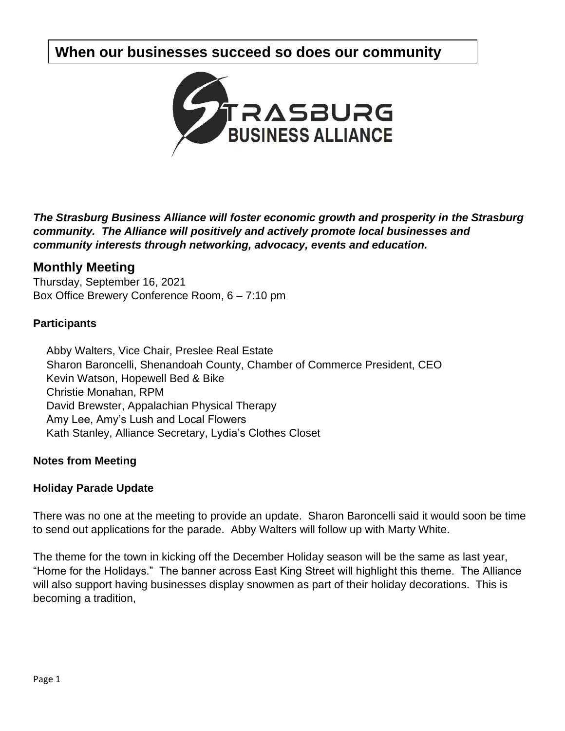# **When our businesses succeed so does our community**



*The Strasburg Business Alliance will foster economic growth and prosperity in the Strasburg community. The Alliance will positively and actively promote local businesses and community interests through networking, advocacy, events and education.*

# **Monthly Meeting**

Thursday, September 16, 2021 Box Office Brewery Conference Room, 6 – 7:10 pm

#### **Participants**

Abby Walters, Vice Chair, Preslee Real Estate Sharon Baroncelli, Shenandoah County, Chamber of Commerce President, CEO Kevin Watson, Hopewell Bed & Bike Christie Monahan, RPM David Brewster, Appalachian Physical Therapy Amy Lee, Amy's Lush and Local Flowers Kath Stanley, Alliance Secretary, Lydia's Clothes Closet

# **Notes from Meeting**

#### **Holiday Parade Update**

There was no one at the meeting to provide an update. Sharon Baroncelli said it would soon be time to send out applications for the parade. Abby Walters will follow up with Marty White.

The theme for the town in kicking off the December Holiday season will be the same as last year, "Home for the Holidays." The banner across East King Street will highlight this theme. The Alliance will also support having businesses display snowmen as part of their holiday decorations. This is becoming a tradition,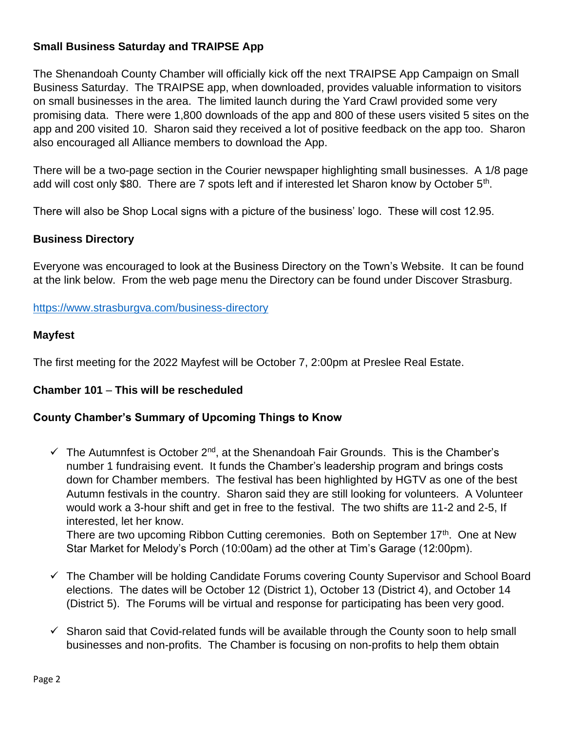# **Small Business Saturday and TRAIPSE App**

The Shenandoah County Chamber will officially kick off the next TRAIPSE App Campaign on Small Business Saturday. The TRAIPSE app, when downloaded, provides valuable information to visitors on small businesses in the area. The limited launch during the Yard Crawl provided some very promising data. There were 1,800 downloads of the app and 800 of these users visited 5 sites on the app and 200 visited 10. Sharon said they received a lot of positive feedback on the app too. Sharon also encouraged all Alliance members to download the App.

There will be a two-page section in the Courier newspaper highlighting small businesses. A 1/8 page add will cost only \$80. There are 7 spots left and if interested let Sharon know by October 5<sup>th</sup>.

There will also be Shop Local signs with a picture of the business' logo. These will cost 12.95.

#### **Business Directory**

Everyone was encouraged to look at the Business Directory on the Town's Website. It can be found at the link below. From the web page menu the Directory can be found under Discover Strasburg.

<https://www.strasburgva.com/business-directory>

#### **Mayfest**

The first meeting for the 2022 Mayfest will be October 7, 2:00pm at Preslee Real Estate.

#### **Chamber 101** – **This will be rescheduled**

#### **County Chamber's Summary of Upcoming Things to Know**

 $\checkmark$  The Autumnfest is October 2<sup>nd</sup>, at the Shenandoah Fair Grounds. This is the Chamber's number 1 fundraising event. It funds the Chamber's leadership program and brings costs down for Chamber members. The festival has been highlighted by HGTV as one of the best Autumn festivals in the country. Sharon said they are still looking for volunteers. A Volunteer would work a 3-hour shift and get in free to the festival. The two shifts are 11-2 and 2-5, If interested, let her know.

There are two upcoming Ribbon Cutting ceremonies. Both on September 17<sup>th</sup>. One at New Star Market for Melody's Porch (10:00am) ad the other at Tim's Garage (12:00pm).

- ✓ The Chamber will be holding Candidate Forums covering County Supervisor and School Board elections. The dates will be October 12 (District 1), October 13 (District 4), and October 14 (District 5). The Forums will be virtual and response for participating has been very good.
- $\checkmark$  Sharon said that Covid-related funds will be available through the County soon to help small businesses and non-profits. The Chamber is focusing on non-profits to help them obtain